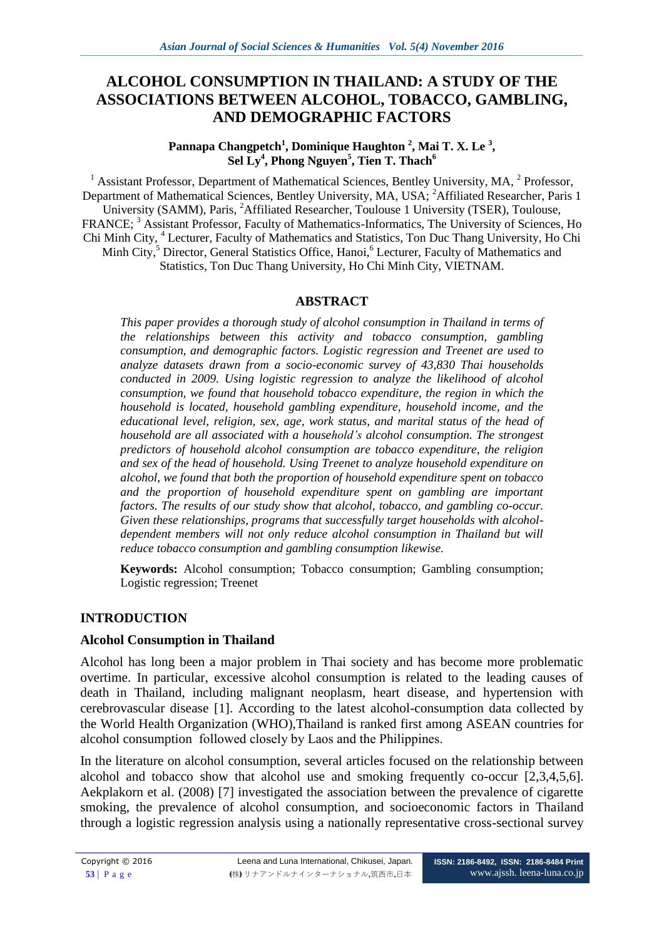# **ALCOHOL CONSUMPTION IN THAILAND: A STUDY OF THE ASSOCIATIONS BETWEEN ALCOHOL, TOBACCO, GAMBLING, AND DEMOGRAPHIC FACTORS**

#### **Pannapa Changpetch<sup>1</sup> , Dominique Haughton <sup>2</sup> , Mai T. X. Le <sup>3</sup> , Sel Ly<sup>4</sup> , Phong Nguyen<sup>5</sup> , Tien T. Thach<sup>6</sup>**

<sup>1</sup> Assistant Professor, Department of Mathematical Sciences, Bentley University, MA, <sup>2</sup> Professor, Department of Mathematical Sciences, Bentley University, MA, USA; <sup>2</sup>Affiliated Researcher, Paris 1 University (SAMM), Paris, <sup>2</sup>Affiliated Researcher, Toulouse 1 University (TSER), Toulouse, FRANCE;<sup>3</sup> Assistant Professor, Faculty of Mathematics-Informatics, The University of Sciences, Ho Chi Minh City, <sup>4</sup> Lecturer, Faculty of Mathematics and Statistics, Ton Duc Thang University, Ho Chi Minh City,<sup>5</sup> Director, General Statistics Office, Hanoi,<sup>6</sup> Lecturer, Faculty of Mathematics and Statistics, Ton Duc Thang University, Ho Chi Minh City, VIETNAM.

# **ABSTRACT**

*This paper provides a thorough study of alcohol consumption in Thailand in terms of the relationships between this activity and tobacco consumption, gambling consumption, and demographic factors. Logistic regression and Treenet are used to analyze datasets drawn from a socio-economic survey of 43,830 Thai households conducted in 2009. Using logistic regression to analyze the likelihood of alcohol consumption, we found that household tobacco expenditure, the region in which the household is located, household gambling expenditure, household income, and the educational level, religion, sex, age, work status, and marital status of the head of household are all associated with a household's alcohol consumption. The strongest predictors of household alcohol consumption are tobacco expenditure, the religion and sex of the head of household. Using Treenet to analyze household expenditure on alcohol, we found that both the proportion of household expenditure spent on tobacco and the proportion of household expenditure spent on gambling are important factors. The results of our study show that alcohol, tobacco, and gambling co-occur. Given these relationships, programs that successfully target households with alcoholdependent members will not only reduce alcohol consumption in Thailand but will reduce tobacco consumption and gambling consumption likewise.* 

**Keywords:** Alcohol consumption; Tobacco consumption; Gambling consumption; Logistic regression; Treenet

# **INTRODUCTION**

# **Alcohol Consumption in Thailand**

Alcohol has long been a major problem in Thai society and has become more problematic overtime. In particular, excessive alcohol consumption is related to the leading causes of death in Thailand, including malignant neoplasm, heart disease, and hypertension with cerebrovascular disease [1]. According to the latest alcohol-consumption data collected by the World Health Organization (WHO),Thailand is ranked first among ASEAN countries for alcohol consumption followed closely by Laos and the Philippines.

In the literature on alcohol consumption, several articles focused on the relationship between alcohol and tobacco show that alcohol use and smoking frequently co-occur [2,3,4,5,6]. Aekplakorn et al. (2008) [7] investigated the association between the prevalence of cigarette smoking, the prevalence of alcohol consumption, and socioeconomic factors in Thailand through a logistic regression analysis using a nationally representative cross-sectional survey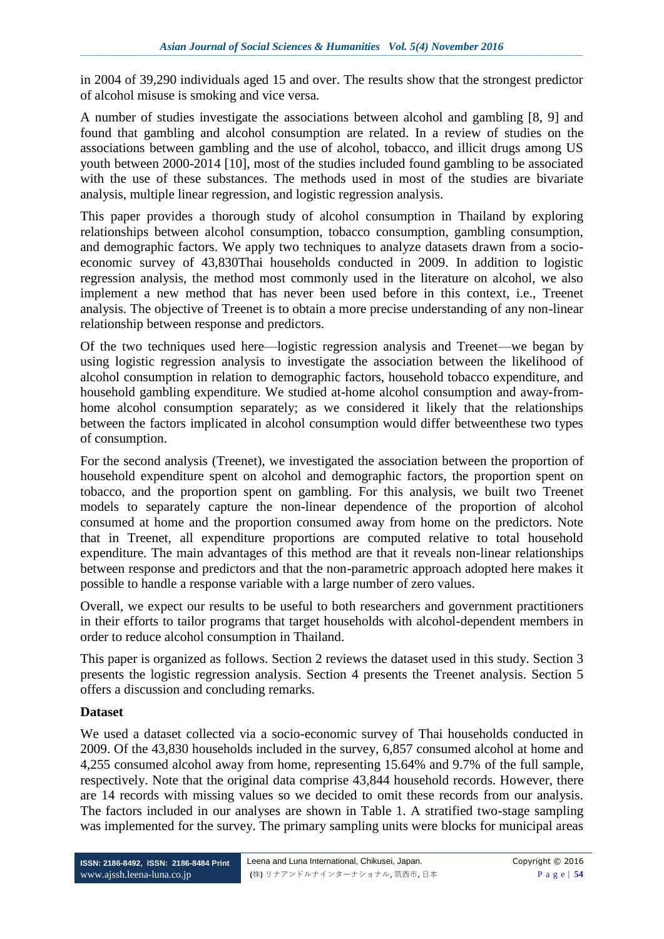in 2004 of 39,290 individuals aged 15 and over. The results show that the strongest predictor of alcohol misuse is smoking and vice versa.

A number of studies investigate the associations between alcohol and gambling [8, 9] and found that gambling and alcohol consumption are related. In a review of studies on the associations between gambling and the use of alcohol, tobacco, and illicit drugs among US youth between 2000-2014 [10], most of the studies included found gambling to be associated with the use of these substances. The methods used in most of the studies are bivariate analysis, multiple linear regression, and logistic regression analysis.

This paper provides a thorough study of alcohol consumption in Thailand by exploring relationships between alcohol consumption, tobacco consumption, gambling consumption, and demographic factors. We apply two techniques to analyze datasets drawn from a socioeconomic survey of 43,830Thai households conducted in 2009. In addition to logistic regression analysis, the method most commonly used in the literature on alcohol, we also implement a new method that has never been used before in this context, i.e., Treenet analysis. The objective of Treenet is to obtain a more precise understanding of any non-linear relationship between response and predictors.

Of the two techniques used here—logistic regression analysis and Treenet—we began by using logistic regression analysis to investigate the association between the likelihood of alcohol consumption in relation to demographic factors, household tobacco expenditure, and household gambling expenditure. We studied at-home alcohol consumption and away-fromhome alcohol consumption separately; as we considered it likely that the relationships between the factors implicated in alcohol consumption would differ betweenthese two types of consumption.

For the second analysis (Treenet), we investigated the association between the proportion of household expenditure spent on alcohol and demographic factors, the proportion spent on tobacco, and the proportion spent on gambling. For this analysis, we built two Treenet models to separately capture the non-linear dependence of the proportion of alcohol consumed at home and the proportion consumed away from home on the predictors. Note that in Treenet, all expenditure proportions are computed relative to total household expenditure. The main advantages of this method are that it reveals non-linear relationships between response and predictors and that the non-parametric approach adopted here makes it possible to handle a response variable with a large number of zero values.

Overall, we expect our results to be useful to both researchers and government practitioners in their efforts to tailor programs that target households with alcohol-dependent members in order to reduce alcohol consumption in Thailand.

This paper is organized as follows. Section 2 reviews the dataset used in this study. Section 3 presents the logistic regression analysis. Section 4 presents the Treenet analysis. Section 5 offers a discussion and concluding remarks.

# **Dataset**

We used a dataset collected via a socio-economic survey of Thai households conducted in 2009. Of the 43,830 households included in the survey, 6,857 consumed alcohol at home and 4,255 consumed alcohol away from home, representing 15.64% and 9.7% of the full sample, respectively. Note that the original data comprise 43,844 household records. However, there are 14 records with missing values so we decided to omit these records from our analysis. The factors included in our analyses are shown in Table 1. A stratified two-stage sampling was implemented for the survey. The primary sampling units were blocks for municipal areas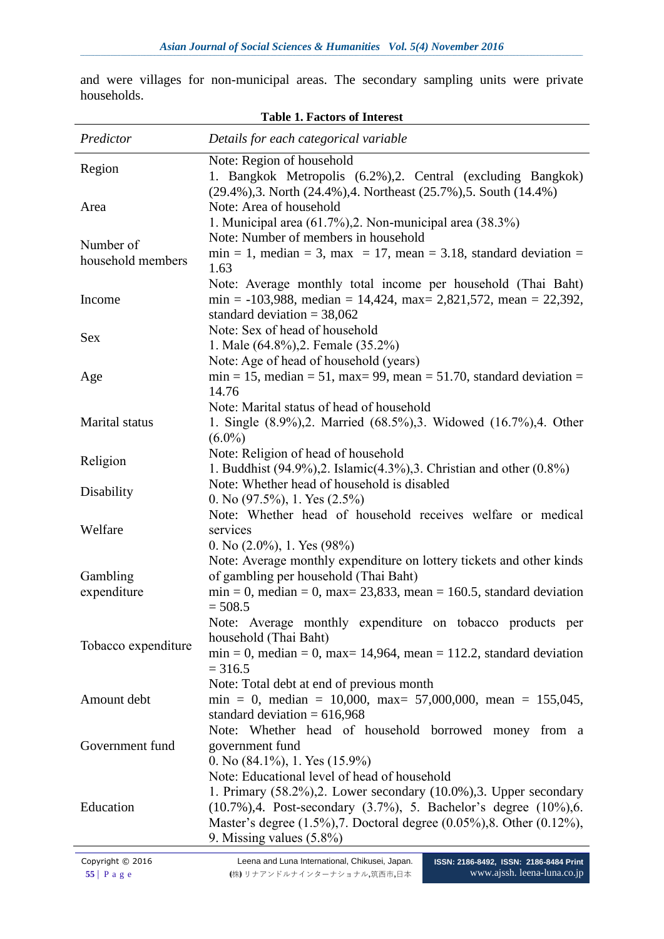**Table 1. Factors of Interest** *Predictor Details for each categorical variable*  Region Note: Region of household 1. Bangkok Metropolis (6.2%),2. Central (excluding Bangkok) (29.4%),3. North (24.4%),4. Northeast (25.7%),5. South (14.4%) Area Note: Area of household 1. Municipal area (61.7%),2. Non-municipal area (38.3%) Number of household members Note: Number of members in household  $min = 1$ , median = 3, max = 17, mean = 3.18, standard deviation = 1.63 Income Note: Average monthly total income per household (Thai Baht) min =  $-103,988$ , median = 14,424, max = 2,821,572, mean = 22,392, standard deviation  $= 38,062$ Sex Note: Sex of head of household 1. Male (64.8%),2. Female (35.2%) Age Note: Age of head of household (years)  $min = 15$ , median = 51, max = 99, mean = 51.70, standard deviation = 14.76 Marital status Note: Marital status of head of household 1. Single (8.9%),2. Married (68.5%),3. Widowed (16.7%),4. Other  $(6.0\%)$ Religion Note: Religion of head of household<br>Religion 1.1.1.2020.2.1.1.2.2020 1. Buddhist (94.9%),2. Islamic(4.3%),3. Christian and other (0.8%) Disability Note: Whether head of household is disabled<br> $0.1 \times 0.75\%$ 0. No (97.5%), 1. Yes (2.5%) Welfare Note: Whether head of household receives welfare or medical services 0. No (2.0%), 1. Yes (98%) Gambling expenditure Note: Average monthly expenditure on lottery tickets and other kinds of gambling per household (Thai Baht)  $min = 0$ , median = 0, max = 23,833, mean = 160.5, standard deviation  $= 508.5$ Tobacco expenditure Note: Average monthly expenditure on tobacco products per household (Thai Baht)  $min = 0$ , median = 0, max = 14,964, mean = 112.2, standard deviation  $= 316.5$ Amount debt Note: Total debt at end of previous month min = 0, median = 10,000, max=  $57,000,000$ , mean = 155,045, standard deviation  $= 616,968$ Government fund Note: Whether head of household borrowed money from a government fund 0. No (84.1%), 1. Yes (15.9%) Education Note: Educational level of head of household 1. Primary (58.2%),2. Lower secondary (10.0%),3. Upper secondary (10.7%),4. Post-secondary (3.7%), 5. Bachelor's degree (10%),6. Master's degree (1.5%),7. Doctoral degree (0.05%),8. Other (0.12%), 9. Missing values (5.8%)

and were villages for non-municipal areas. The secondary sampling units were private households.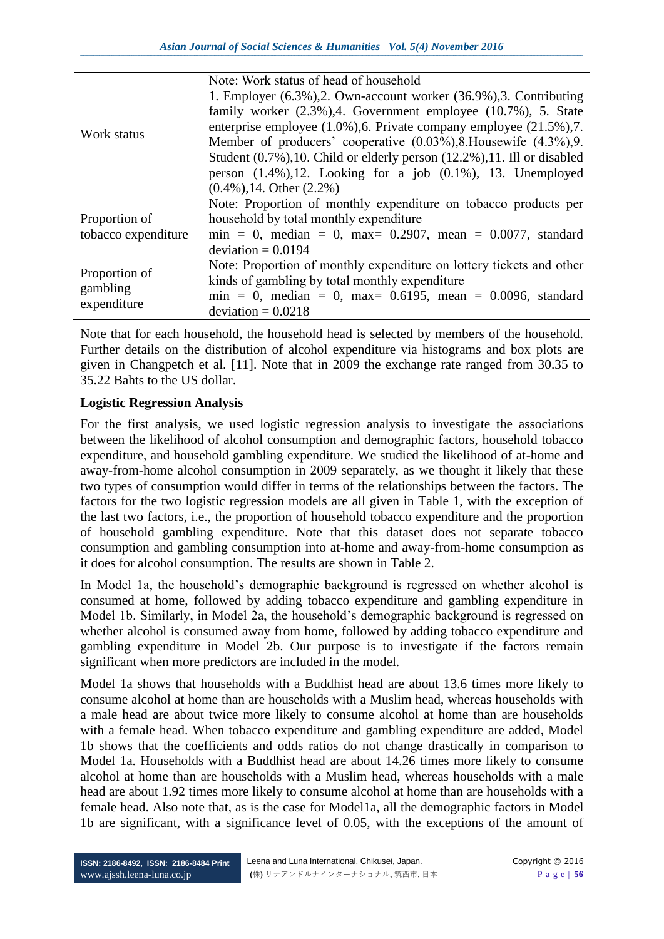|                     | Note: Work status of head of household                                      |
|---------------------|-----------------------------------------------------------------------------|
|                     | 1. Employer (6.3%), 2. Own-account worker (36.9%), 3. Contributing          |
|                     | family worker $(2.3\%)$ , 4. Government employee $(10.7\%)$ , 5. State      |
| Work status         | enterprise employee $(1.0\%)$ , 6. Private company employee $(21.5\%)$ , 7. |
|                     | Member of producers' cooperative $(0.03\%)$ , 8. Housewife $(4.3\%)$ , 9.   |
|                     | Student (0.7%), 10. Child or elderly person (12.2%), 11. Ill or disabled    |
|                     | person $(1.4\%)$ , 12. Looking for a job $(0.1\%)$ , 13. Unemployed         |
|                     | $(0.4\%)$ , 14. Other $(2.2\%)$                                             |
|                     | Note: Proportion of monthly expenditure on tobacco products per             |
| Proportion of       | household by total monthly expenditure                                      |
| tobacco expenditure | $min = 0$ , median = 0, max = 0.2907, mean = 0.0077, standard               |
|                     | $deviation = 0.0194$                                                        |
|                     | Note: Proportion of monthly expenditure on lottery tickets and other        |
| Proportion of       | kinds of gambling by total monthly expenditure                              |
| gambling            | $min = 0$ , median = 0, max= 0.6195, mean = 0.0096, standard                |
| expenditure         | $deviation = 0.0218$                                                        |

Note that for each household, the household head is selected by members of the household. Further details on the distribution of alcohol expenditure via histograms and box plots are given in Changpetch et al. [11]. Note that in 2009 the exchange rate ranged from 30.35 to 35.22 Bahts to the US dollar.

#### **Logistic Regression Analysis**

For the first analysis, we used logistic regression analysis to investigate the associations between the likelihood of alcohol consumption and demographic factors, household tobacco expenditure, and household gambling expenditure. We studied the likelihood of at-home and away-from-home alcohol consumption in 2009 separately, as we thought it likely that these two types of consumption would differ in terms of the relationships between the factors. The factors for the two logistic regression models are all given in Table 1, with the exception of the last two factors, i.e., the proportion of household tobacco expenditure and the proportion of household gambling expenditure. Note that this dataset does not separate tobacco consumption and gambling consumption into at-home and away-from-home consumption as it does for alcohol consumption. The results are shown in Table 2.

In Model 1a, the household's demographic background is regressed on whether alcohol is consumed at home, followed by adding tobacco expenditure and gambling expenditure in Model 1b. Similarly, in Model 2a, the household's demographic background is regressed on whether alcohol is consumed away from home, followed by adding tobacco expenditure and gambling expenditure in Model 2b. Our purpose is to investigate if the factors remain significant when more predictors are included in the model.

Model 1a shows that households with a Buddhist head are about 13.6 times more likely to consume alcohol at home than are households with a Muslim head, whereas households with a male head are about twice more likely to consume alcohol at home than are households with a female head. When tobacco expenditure and gambling expenditure are added, Model 1b shows that the coefficients and odds ratios do not change drastically in comparison to Model 1a. Households with a Buddhist head are about 14.26 times more likely to consume alcohol at home than are households with a Muslim head, whereas households with a male head are about 1.92 times more likely to consume alcohol at home than are households with a female head. Also note that, as is the case for Model1a, all the demographic factors in Model 1b are significant, with a significance level of 0.05, with the exceptions of the amount of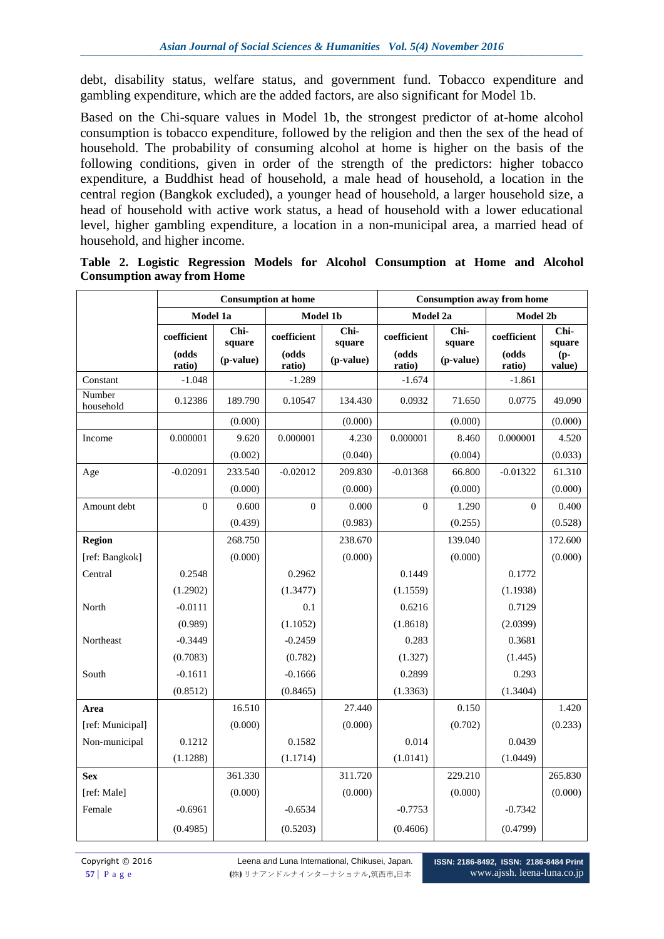debt, disability status, welfare status, and government fund. Tobacco expenditure and gambling expenditure, which are the added factors, are also significant for Model 1b.

Based on the Chi-square values in Model 1b, the strongest predictor of at-home alcohol consumption is tobacco expenditure, followed by the religion and then the sex of the head of household. The probability of consuming alcohol at home is higher on the basis of the following conditions, given in order of the strength of the predictors: higher tobacco expenditure, a Buddhist head of household, a male head of household, a location in the central region (Bangkok excluded), a younger head of household, a larger household size, a head of household with active work status, a head of household with a lower educational level, higher gambling expenditure, a location in a non-municipal area, a married head of household, and higher income.

|                     | <b>Consumption at home</b> |                                   |                 |                  | <b>Consumption away from home</b> |                |                 |                                   |  |
|---------------------|----------------------------|-----------------------------------|-----------------|------------------|-----------------------------------|----------------|-----------------|-----------------------------------|--|
|                     | Model 1a                   |                                   |                 | Model 1b         | Model 2a                          |                | Model 2b        |                                   |  |
|                     | coefficient                | $\overline{\text{Chi}}$<br>square | coefficient     | $Chi-$<br>square | coefficient                       | Chi-<br>square | coefficient     | $\overline{\text{Chi}}$<br>square |  |
|                     | (odds<br>ratio)            | (p-value)                         | (odds<br>ratio) | (p-value)        | (odds<br>ratio)                   | (p-value)      | (odds<br>ratio) | $(p-$<br>value)                   |  |
| Constant            | $-1.048$                   |                                   | $-1.289$        |                  | $-1.674$                          |                | $-1.861$        |                                   |  |
| Number<br>household | 0.12386                    | 189.790                           | 0.10547         | 134.430          | 0.0932                            | 71.650         | 0.0775          | 49.090                            |  |
|                     |                            | (0.000)                           |                 | (0.000)          |                                   | (0.000)        |                 | (0.000)                           |  |
| Income              | 0.000001                   | 9.620                             | 0.000001        | 4.230            | 0.000001                          | 8.460          | 0.000001        | 4.520                             |  |
|                     |                            | (0.002)                           |                 | (0.040)          |                                   | (0.004)        |                 | (0.033)                           |  |
| Age                 | $-0.02091$                 | 233.540                           | $-0.02012$      | 209.830          | $-0.01368$                        | 66.800         | $-0.01322$      | 61.310                            |  |
|                     |                            | (0.000)                           |                 | (0.000)          |                                   | (0.000)        |                 | (0.000)                           |  |
| Amount debt         | $\mathbf{0}$               | 0.600                             | $\overline{0}$  | 0.000            | $\mathbf{0}$                      | 1.290          | $\Omega$        | 0.400                             |  |
|                     |                            | (0.439)                           |                 | (0.983)          |                                   | (0.255)        |                 | (0.528)                           |  |
| <b>Region</b>       |                            | 268.750                           |                 | 238.670          |                                   | 139.040        |                 | 172.600                           |  |
| [ref: Bangkok]      |                            | (0.000)                           |                 | (0.000)          |                                   | (0.000)        |                 | (0.000)                           |  |
| Central             | 0.2548                     |                                   | 0.2962          |                  | 0.1449                            |                | 0.1772          |                                   |  |
|                     | (1.2902)                   |                                   | (1.3477)        |                  | (1.1559)                          |                | (1.1938)        |                                   |  |
| North               | $-0.0111$                  |                                   | 0.1             |                  | 0.6216                            |                | 0.7129          |                                   |  |
|                     | (0.989)                    |                                   | (1.1052)        |                  | (1.8618)                          |                | (2.0399)        |                                   |  |
| Northeast           | $-0.3449$                  |                                   | $-0.2459$       |                  | 0.283                             |                | 0.3681          |                                   |  |
|                     | (0.7083)                   |                                   | (0.782)         |                  | (1.327)                           |                | (1.445)         |                                   |  |
| South               | $-0.1611$                  |                                   | $-0.1666$       |                  | 0.2899                            |                | 0.293           |                                   |  |
|                     | (0.8512)                   |                                   | (0.8465)        |                  | (1.3363)                          |                | (1.3404)        |                                   |  |
| Area                |                            | 16.510                            |                 | 27.440           |                                   | 0.150          |                 | 1.420                             |  |
| [ref: Municipal]    |                            | (0.000)                           |                 | (0.000)          |                                   | (0.702)        |                 | (0.233)                           |  |
| Non-municipal       | 0.1212                     |                                   | 0.1582          |                  | 0.014                             |                | 0.0439          |                                   |  |
|                     | (1.1288)                   |                                   | (1.1714)        |                  | (1.0141)                          |                | (1.0449)        |                                   |  |
| <b>Sex</b>          |                            | 361.330                           |                 | 311.720          |                                   | 229.210        |                 | 265.830                           |  |
| [ref: Male]         |                            | (0.000)                           |                 | (0.000)          |                                   | (0.000)        |                 | (0.000)                           |  |
| Female              | $-0.6961$                  |                                   | $-0.6534$       |                  | $-0.7753$                         |                | $-0.7342$       |                                   |  |
|                     | (0.4985)                   |                                   | (0.5203)        |                  | (0.4606)                          |                | (0.4799)        |                                   |  |

|  |                                   |  | Table 2. Logistic Regression Models for Alcohol Consumption at Home and Alcohol |  |  |
|--|-----------------------------------|--|---------------------------------------------------------------------------------|--|--|
|  | <b>Consumption away from Home</b> |  |                                                                                 |  |  |

Copyright © 2016 Leena and Luna International, Chikusei, Japan. **57** | P a g e (株) リナアンドルナインターナショナル,筑西市,日本

**ISSN: 2186-8492, ISSN: 2186-8484 Print** www.ajssh. leena-luna.co.jp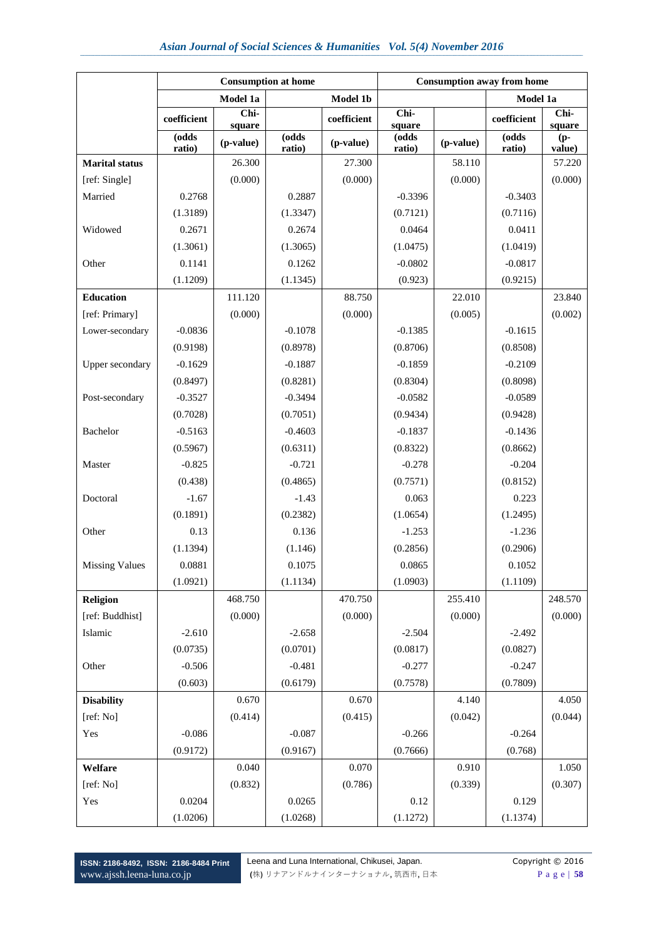|                       | <b>Consumption at home</b> |                |                 |             |                 | <b>Consumption away from home</b> |                 |                  |
|-----------------------|----------------------------|----------------|-----------------|-------------|-----------------|-----------------------------------|-----------------|------------------|
|                       |                            | Model 1a       |                 | Model 1b    |                 |                                   | Model 1a        |                  |
|                       | coefficient                | Chi-<br>square |                 | coefficient | Chi-<br>square  |                                   | coefficient     | Chi-<br>square   |
|                       | (odds<br>ratio)            | (p-value)      | (odds<br>ratio) | (p-value)   | (odds<br>ratio) | (p-value)                         | (odds<br>ratio) | $(p -$<br>value) |
| <b>Marital</b> status |                            | 26.300         |                 | 27.300      |                 | 58.110                            |                 | 57.220           |
| [ref: Single]         |                            | (0.000)        |                 | (0.000)     |                 | (0.000)                           |                 | (0.000)          |
| Married               | 0.2768                     |                | 0.2887          |             | $-0.3396$       |                                   | $-0.3403$       |                  |
|                       | (1.3189)                   |                | (1.3347)        |             | (0.7121)        |                                   | (0.7116)        |                  |
| Widowed               | 0.2671                     |                | 0.2674          |             | 0.0464          |                                   | 0.0411          |                  |
|                       | (1.3061)                   |                | (1.3065)        |             | (1.0475)        |                                   | (1.0419)        |                  |
| Other                 | 0.1141                     |                | 0.1262          |             | $-0.0802$       |                                   | $-0.0817$       |                  |
|                       | (1.1209)                   |                | (1.1345)        |             | (0.923)         |                                   | (0.9215)        |                  |
| <b>Education</b>      |                            | 111.120        |                 | 88.750      |                 | 22.010                            |                 | 23.840           |
| [ref: Primary]        |                            | (0.000)        |                 | (0.000)     |                 | (0.005)                           |                 | (0.002)          |
| Lower-secondary       | $-0.0836$                  |                | $-0.1078$       |             | $-0.1385$       |                                   | $-0.1615$       |                  |
|                       | (0.9198)                   |                | (0.8978)        |             | (0.8706)        |                                   | (0.8508)        |                  |
| Upper secondary       | $-0.1629$                  |                | $-0.1887$       |             | $-0.1859$       |                                   | $-0.2109$       |                  |
|                       | (0.8497)                   |                | (0.8281)        |             | (0.8304)        |                                   | (0.8098)        |                  |
| Post-secondary        | $-0.3527$                  |                | $-0.3494$       |             | $-0.0582$       |                                   | $-0.0589$       |                  |
|                       | (0.7028)                   |                | (0.7051)        |             | (0.9434)        |                                   | (0.9428)        |                  |
| Bachelor              | $-0.5163$                  |                | $-0.4603$       |             | $-0.1837$       |                                   | $-0.1436$       |                  |
|                       | (0.5967)                   |                | (0.6311)        |             | (0.8322)        |                                   | (0.8662)        |                  |
| Master                | $-0.825$                   |                | $-0.721$        |             | $-0.278$        |                                   | $-0.204$        |                  |
|                       | (0.438)                    |                | (0.4865)        |             | (0.7571)        |                                   | (0.8152)        |                  |
| Doctoral              | $-1.67$                    |                | $-1.43$         |             | 0.063           |                                   | 0.223           |                  |
|                       | (0.1891)                   |                | (0.2382)        |             | (1.0654)        |                                   | (1.2495)        |                  |
| Other                 | 0.13                       |                | 0.136           |             | $-1.253$        |                                   | $-1.236$        |                  |
|                       | (1.1394)                   |                | (1.146)         |             | (0.2856)        |                                   | (0.2906)        |                  |
| <b>Missing Values</b> | 0.0881                     |                | 0.1075          |             | 0.0865          |                                   | 0.1052          |                  |
|                       | (1.0921)                   |                | (1.1134)        |             | (1.0903)        |                                   | (1.1109)        |                  |
| Religion              |                            | 468.750        |                 | 470.750     |                 | 255.410                           |                 | 248.570          |
| [ref: Buddhist]       |                            | (0.000)        |                 | (0.000)     |                 | (0.000)                           |                 | (0.000)          |
| Islamic               | $-2.610$                   |                | $-2.658$        |             | $-2.504$        |                                   | $-2.492$        |                  |
|                       | (0.0735)                   |                | (0.0701)        |             | (0.0817)        |                                   | (0.0827)        |                  |
| Other                 | $-0.506$                   |                | $-0.481$        |             | $-0.277$        |                                   | $-0.247$        |                  |
|                       | (0.603)                    |                | (0.6179)        |             | (0.7578)        |                                   | (0.7809)        |                  |
| <b>Disability</b>     |                            | 0.670          |                 | 0.670       |                 | 4.140                             |                 | 4.050            |
| [ref: No]             |                            | (0.414)        |                 | (0.415)     |                 | (0.042)                           |                 | (0.044)          |
| Yes                   | $-0.086$                   |                | $-0.087$        |             | $-0.266$        |                                   | $-0.264$        |                  |
|                       | (0.9172)                   |                | (0.9167)        |             | (0.7666)        |                                   | (0.768)         |                  |
| Welfare               |                            | 0.040          |                 | 0.070       |                 | 0.910                             |                 | 1.050            |
| [ref: No]             |                            | (0.832)        |                 | (0.786)     |                 | (0.339)                           |                 | (0.307)          |
| Yes                   | 0.0204                     |                | 0.0265          |             | 0.12            |                                   | 0.129           |                  |
|                       | (1.0206)                   |                | (1.0268)        |             | (1.1272)        |                                   | (1.1374)        |                  |

**ISSN: 2186-8492, ISSN: 2186-8484 Print** www.ajssh.leena-luna.co.jp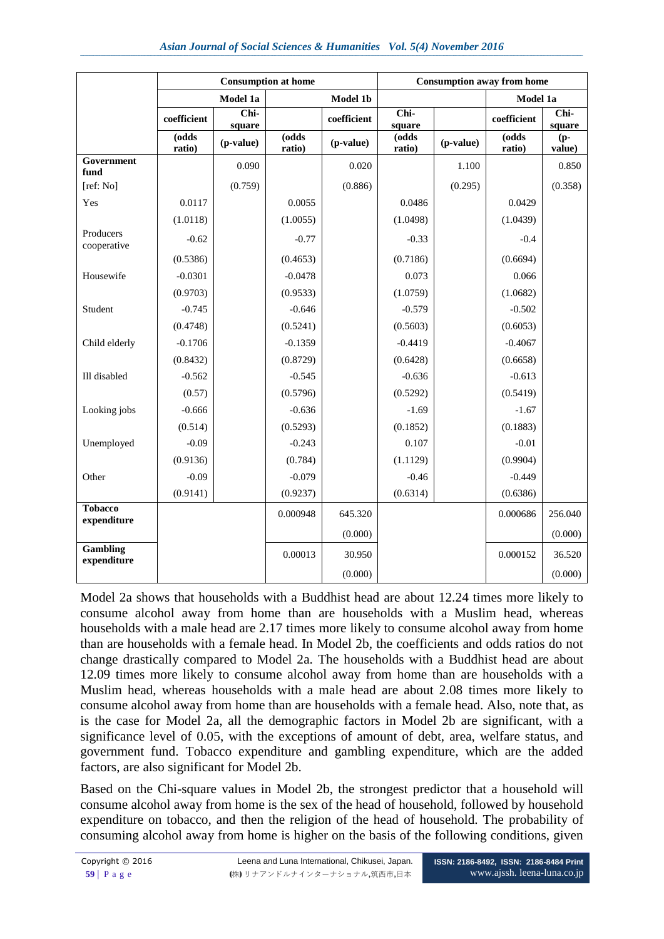|                                | <b>Consumption at home</b> |                |                 | <b>Consumption away from home</b> |                 |           |                 |                 |
|--------------------------------|----------------------------|----------------|-----------------|-----------------------------------|-----------------|-----------|-----------------|-----------------|
|                                |                            | Model 1a       |                 | Model 1b                          |                 |           | Model 1a        |                 |
|                                | coefficient                | Chi-<br>square |                 | coefficient                       | Chi-<br>square  |           | coefficient     | Chi-<br>square  |
|                                | (odds<br>ratio)            | (p-value)      | (odds<br>ratio) | (p-value)                         | (odds<br>ratio) | (p-value) | (odds<br>ratio) | $(p-$<br>value) |
| Government<br>fund             |                            | 0.090          |                 | 0.020                             |                 | 1.100     |                 | 0.850           |
| [ref: No]                      |                            | (0.759)        |                 | (0.886)                           |                 | (0.295)   |                 | (0.358)         |
| Yes                            | 0.0117                     |                | 0.0055          |                                   | 0.0486          |           | 0.0429          |                 |
|                                | (1.0118)                   |                | (1.0055)        |                                   | (1.0498)        |           | (1.0439)        |                 |
| Producers<br>cooperative       | $-0.62$                    |                | $-0.77$         |                                   | $-0.33$         |           | $-0.4$          |                 |
|                                | (0.5386)                   |                | (0.4653)        |                                   | (0.7186)        |           | (0.6694)        |                 |
| Housewife                      | $-0.0301$                  |                | $-0.0478$       |                                   | 0.073           |           | 0.066           |                 |
|                                | (0.9703)                   |                | (0.9533)        |                                   | (1.0759)        |           | (1.0682)        |                 |
| Student                        | $-0.745$                   |                | $-0.646$        |                                   | $-0.579$        |           | $-0.502$        |                 |
|                                | (0.4748)                   |                | (0.5241)        |                                   | (0.5603)        |           | (0.6053)        |                 |
| Child elderly                  | $-0.1706$                  |                | $-0.1359$       |                                   | $-0.4419$       |           | $-0.4067$       |                 |
|                                | (0.8432)                   |                | (0.8729)        |                                   | (0.6428)        |           | (0.6658)        |                 |
| Ill disabled                   | $-0.562$                   |                | $-0.545$        |                                   | $-0.636$        |           | $-0.613$        |                 |
|                                | (0.57)                     |                | (0.5796)        |                                   | (0.5292)        |           | (0.5419)        |                 |
| Looking jobs                   | $-0.666$                   |                | $-0.636$        |                                   | $-1.69$         |           | $-1.67$         |                 |
|                                | (0.514)                    |                | (0.5293)        |                                   | (0.1852)        |           | (0.1883)        |                 |
| Unemployed                     | $-0.09$                    |                | $-0.243$        |                                   | 0.107           |           | $-0.01$         |                 |
|                                | (0.9136)                   |                | (0.784)         |                                   | (1.1129)        |           | (0.9904)        |                 |
| Other                          | $-0.09$                    |                | $-0.079$        |                                   | $-0.46$         |           | $-0.449$        |                 |
|                                | (0.9141)                   |                | (0.9237)        |                                   | (0.6314)        |           | (0.6386)        |                 |
| <b>Tobacco</b><br>expenditure  |                            |                | 0.000948        | 645.320                           |                 |           | 0.000686        | 256.040         |
|                                |                            |                |                 | (0.000)                           |                 |           |                 | (0.000)         |
| <b>Gambling</b><br>expenditure |                            |                | 0.00013         | 30.950                            |                 |           | 0.000152        | 36.520          |
|                                |                            |                |                 | (0.000)                           |                 |           |                 | (0.000)         |

Model 2a shows that households with a Buddhist head are about 12.24 times more likely to consume alcohol away from home than are households with a Muslim head, whereas households with a male head are 2.17 times more likely to consume alcohol away from home than are households with a female head. In Model 2b, the coefficients and odds ratios do not change drastically compared to Model 2a. The households with a Buddhist head are about 12.09 times more likely to consume alcohol away from home than are households with a Muslim head, whereas households with a male head are about 2.08 times more likely to consume alcohol away from home than are households with a female head. Also, note that, as is the case for Model 2a, all the demographic factors in Model 2b are significant, with a significance level of 0.05, with the exceptions of amount of debt, area, welfare status, and government fund. Tobacco expenditure and gambling expenditure, which are the added factors, are also significant for Model 2b.

Based on the Chi-square values in Model 2b, the strongest predictor that a household will consume alcohol away from home is the sex of the head of household, followed by household expenditure on tobacco, and then the religion of the head of household. The probability of consuming alcohol away from home is higher on the basis of the following conditions, given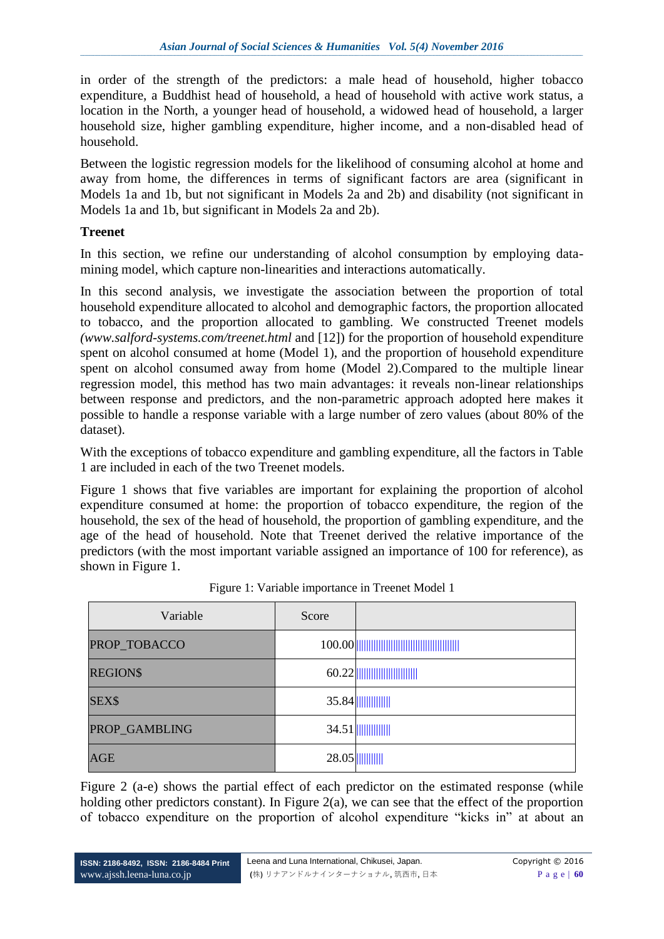in order of the strength of the predictors: a male head of household, higher tobacco expenditure, a Buddhist head of household, a head of household with active work status, a location in the North, a younger head of household, a widowed head of household, a larger household size, higher gambling expenditure, higher income, and a non-disabled head of household.

Between the logistic regression models for the likelihood of consuming alcohol at home and away from home, the differences in terms of significant factors are area (significant in Models 1a and 1b, but not significant in Models 2a and 2b) and disability (not significant in Models 1a and 1b, but significant in Models 2a and 2b).

# **Treenet**

In this section, we refine our understanding of alcohol consumption by employing datamining model, which capture non-linearities and interactions automatically.

In this second analysis, we investigate the association between the proportion of total household expenditure allocated to alcohol and demographic factors, the proportion allocated to tobacco, and the proportion allocated to gambling. We constructed Treenet models *[\(www.salford-systems.com/treenet.html](http://www.salford-systems.com/treenet.html)* and [12]) for the proportion of household expenditure spent on alcohol consumed at home (Model 1), and the proportion of household expenditure spent on alcohol consumed away from home (Model 2).Compared to the multiple linear regression model, this method has two main advantages: it reveals non-linear relationships between response and predictors, and the non-parametric approach adopted here makes it possible to handle a response variable with a large number of zero values (about 80% of the dataset).

With the exceptions of tobacco expenditure and gambling expenditure, all the factors in Table 1 are included in each of the two Treenet models.

Figure 1 shows that five variables are important for explaining the proportion of alcohol expenditure consumed at home: the proportion of tobacco expenditure, the region of the household, the sex of the head of household, the proportion of gambling expenditure, and the age of the head of household. Note that Treenet derived the relative importance of the predictors (with the most important variable assigned an importance of 100 for reference), as shown in Figure 1.

| Variable        | Score |       |
|-----------------|-------|-------|
| PROP_TOBACCO    |       |       |
| <b>REGION\$</b> |       | 60.22 |
| SEX\$           |       |       |
| PROP_GAMBLING   |       |       |
| <b>AGE</b>      |       |       |

|  | Figure 1: Variable importance in Treenet Model 1 |  |  |
|--|--------------------------------------------------|--|--|
|  |                                                  |  |  |

Figure 2 (a-e) shows the partial effect of each predictor on the estimated response (while holding other predictors constant). In Figure  $2(a)$ , we can see that the effect of the proportion of tobacco expenditure on the proportion of alcohol expenditure "kicks in" at about an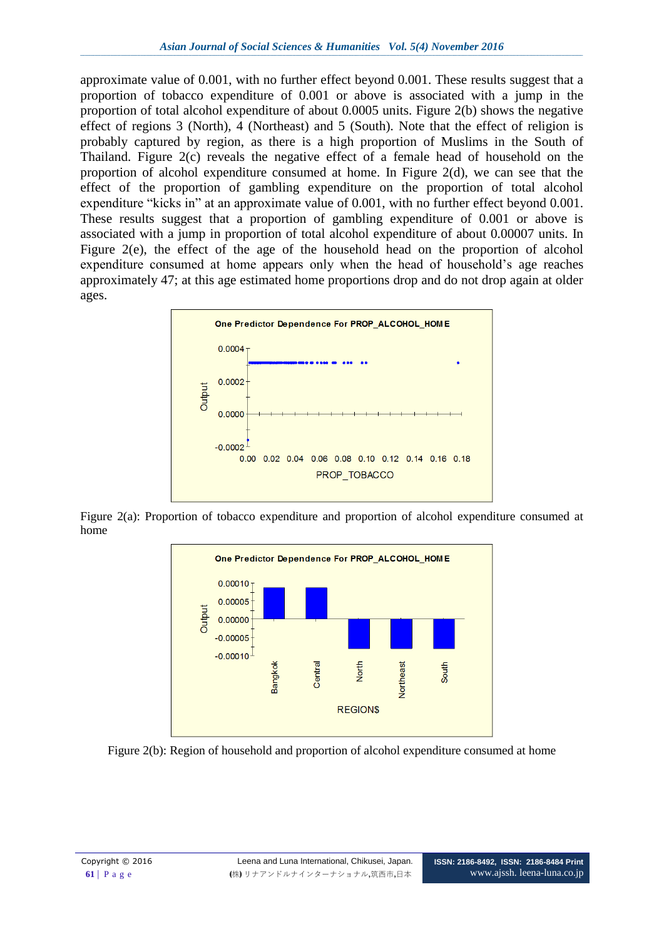approximate value of 0.001, with no further effect beyond 0.001. These results suggest that a proportion of tobacco expenditure of 0.001 or above is associated with a jump in the proportion of total alcohol expenditure of about 0.0005 units. Figure 2(b) shows the negative effect of regions 3 (North), 4 (Northeast) and 5 (South). Note that the effect of religion is probably captured by region, as there is a high proportion of Muslims in the South of Thailand. Figure 2(c) reveals the negative effect of a female head of household on the proportion of alcohol expenditure consumed at home. In Figure 2(d), we can see that the effect of the proportion of gambling expenditure on the proportion of total alcohol expenditure "kicks in" at an approximate value of 0.001, with no further effect beyond 0.001. These results suggest that a proportion of gambling expenditure of 0.001 or above is associated with a jump in proportion of total alcohol expenditure of about 0.00007 units. In Figure 2(e), the effect of the age of the household head on the proportion of alcohol expenditure consumed at home appears only when the head of household's age reaches approximately 47; at this age estimated home proportions drop and do not drop again at older ages.



Figure 2(a): Proportion of tobacco expenditure and proportion of alcohol expenditure consumed at home



Figure 2(b): Region of household and proportion of alcohol expenditure consumed at home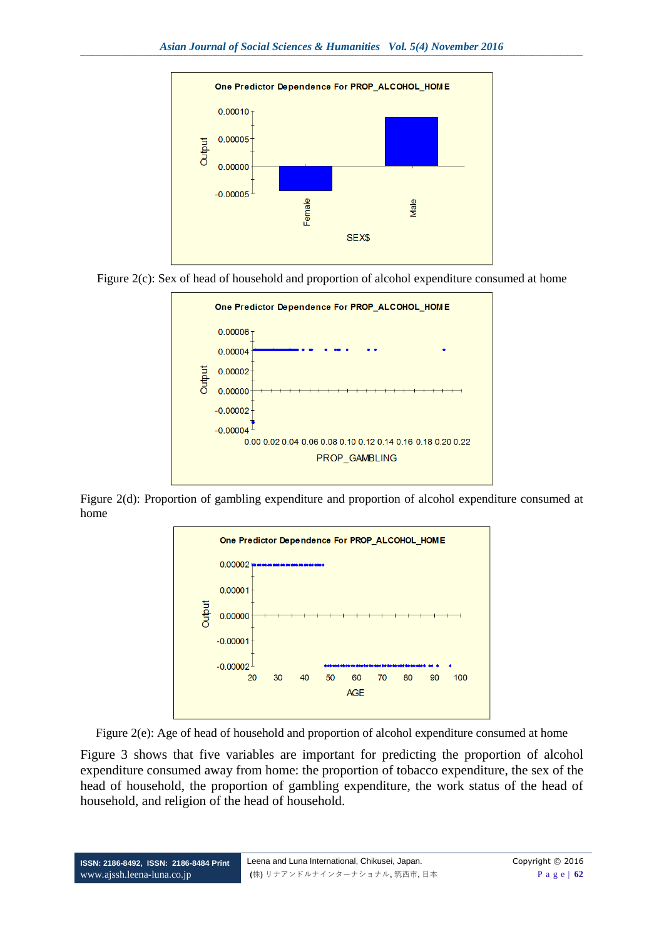





Figure 2(d): Proportion of gambling expenditure and proportion of alcohol expenditure consumed at home





Figure 3 shows that five variables are important for predicting the proportion of alcohol expenditure consumed away from home: the proportion of tobacco expenditure, the sex of the head of household, the proportion of gambling expenditure, the work status of the head of household, and religion of the head of household.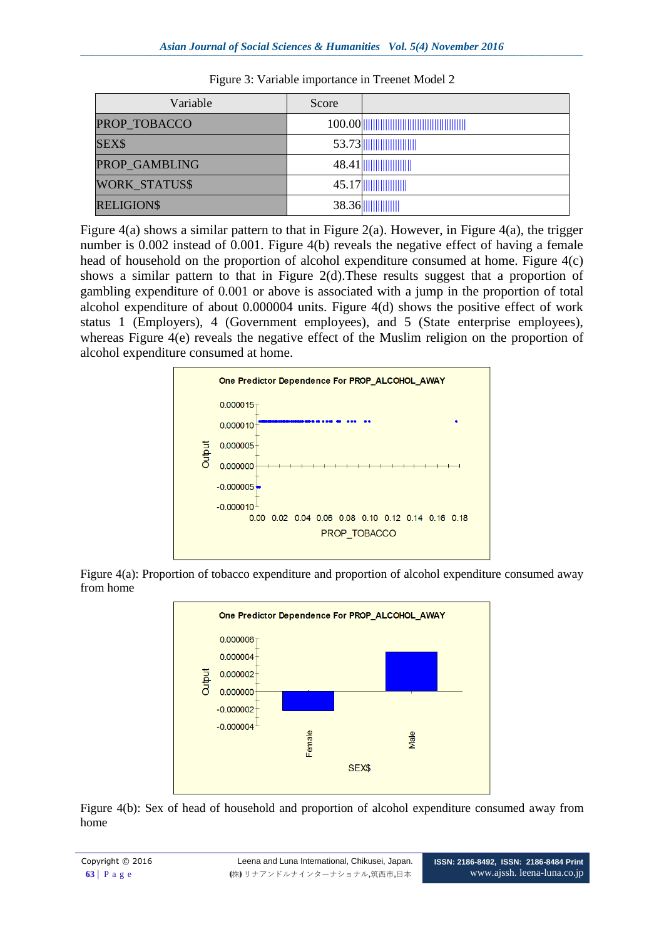| Variable             | Score |  |
|----------------------|-------|--|
| PROP_TOBACCO         |       |  |
| SEX\$                |       |  |
| PROP_GAMBLING        |       |  |
| <b>WORK STATUS\$</b> |       |  |
| <b>RELIGION\$</b>    |       |  |

Figure 4(a) shows a similar pattern to that in Figure 2(a). However, in Figure 4(a), the trigger number is 0.002 instead of 0.001. Figure 4(b) reveals the negative effect of having a female head of household on the proportion of alcohol expenditure consumed at home. Figure 4(c) shows a similar pattern to that in Figure 2(d).These results suggest that a proportion of gambling expenditure of 0.001 or above is associated with a jump in the proportion of total alcohol expenditure of about 0.000004 units. Figure 4(d) shows the positive effect of work status 1 (Employers), 4 (Government employees), and 5 (State enterprise employees), whereas Figure 4(e) reveals the negative effect of the Muslim religion on the proportion of alcohol expenditure consumed at home.



Figure 4(a): Proportion of tobacco expenditure and proportion of alcohol expenditure consumed away from home



Figure 4(b): Sex of head of household and proportion of alcohol expenditure consumed away from home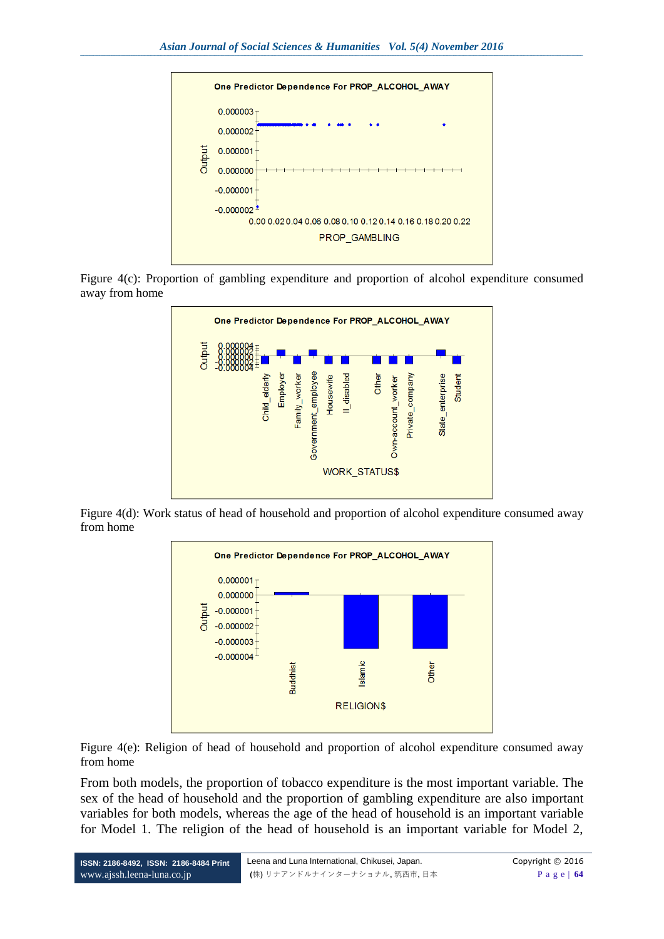

Figure 4(c): Proportion of gambling expenditure and proportion of alcohol expenditure consumed away from home



Figure 4(d): Work status of head of household and proportion of alcohol expenditure consumed away from home



Figure 4(e): Religion of head of household and proportion of alcohol expenditure consumed away from home

From both models, the proportion of tobacco expenditure is the most important variable. The sex of the head of household and the proportion of gambling expenditure are also important variables for both models, whereas the age of the head of household is an important variable for Model 1. The religion of the head of household is an important variable for Model 2,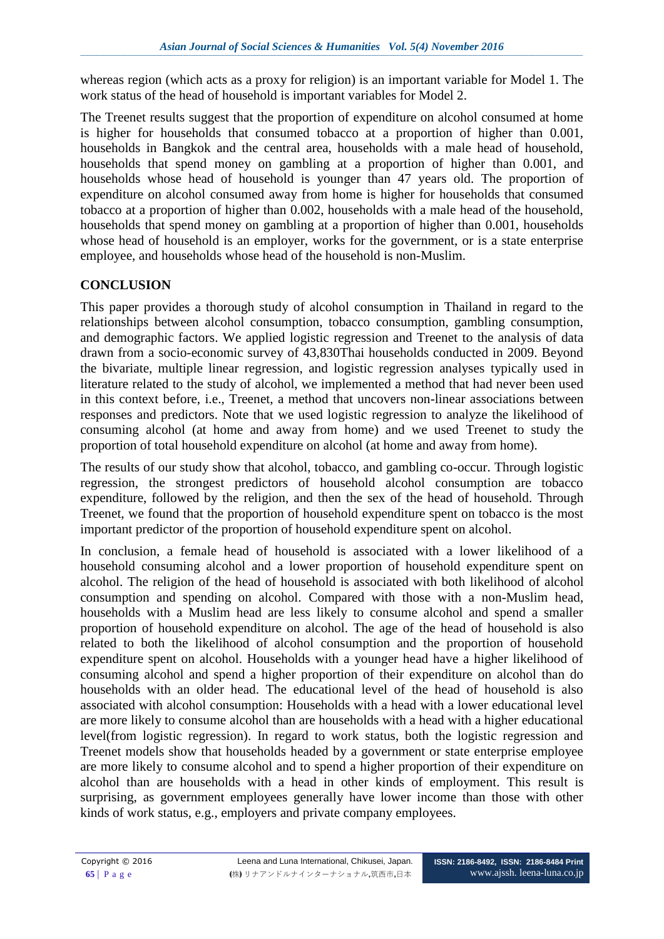whereas region (which acts as a proxy for religion) is an important variable for Model 1. The work status of the head of household is important variables for Model 2.

The Treenet results suggest that the proportion of expenditure on alcohol consumed at home is higher for households that consumed tobacco at a proportion of higher than 0.001, households in Bangkok and the central area, households with a male head of household, households that spend money on gambling at a proportion of higher than 0.001, and households whose head of household is younger than 47 years old. The proportion of expenditure on alcohol consumed away from home is higher for households that consumed tobacco at a proportion of higher than 0.002, households with a male head of the household, households that spend money on gambling at a proportion of higher than 0.001, households whose head of household is an employer, works for the government, or is a state enterprise employee, and households whose head of the household is non-Muslim.

# **CONCLUSION**

This paper provides a thorough study of alcohol consumption in Thailand in regard to the relationships between alcohol consumption, tobacco consumption, gambling consumption, and demographic factors. We applied logistic regression and Treenet to the analysis of data drawn from a socio-economic survey of 43,830Thai households conducted in 2009. Beyond the bivariate, multiple linear regression, and logistic regression analyses typically used in literature related to the study of alcohol, we implemented a method that had never been used in this context before, i.e., Treenet, a method that uncovers non-linear associations between responses and predictors. Note that we used logistic regression to analyze the likelihood of consuming alcohol (at home and away from home) and we used Treenet to study the proportion of total household expenditure on alcohol (at home and away from home).

The results of our study show that alcohol, tobacco, and gambling co-occur. Through logistic regression, the strongest predictors of household alcohol consumption are tobacco expenditure, followed by the religion, and then the sex of the head of household. Through Treenet, we found that the proportion of household expenditure spent on tobacco is the most important predictor of the proportion of household expenditure spent on alcohol.

In conclusion, a female head of household is associated with a lower likelihood of a household consuming alcohol and a lower proportion of household expenditure spent on alcohol. The religion of the head of household is associated with both likelihood of alcohol consumption and spending on alcohol. Compared with those with a non-Muslim head, households with a Muslim head are less likely to consume alcohol and spend a smaller proportion of household expenditure on alcohol. The age of the head of household is also related to both the likelihood of alcohol consumption and the proportion of household expenditure spent on alcohol. Households with a younger head have a higher likelihood of consuming alcohol and spend a higher proportion of their expenditure on alcohol than do households with an older head. The educational level of the head of household is also associated with alcohol consumption: Households with a head with a lower educational level are more likely to consume alcohol than are households with a head with a higher educational level(from logistic regression). In regard to work status, both the logistic regression and Treenet models show that households headed by a government or state enterprise employee are more likely to consume alcohol and to spend a higher proportion of their expenditure on alcohol than are households with a head in other kinds of employment. This result is surprising, as government employees generally have lower income than those with other kinds of work status, e.g., employers and private company employees.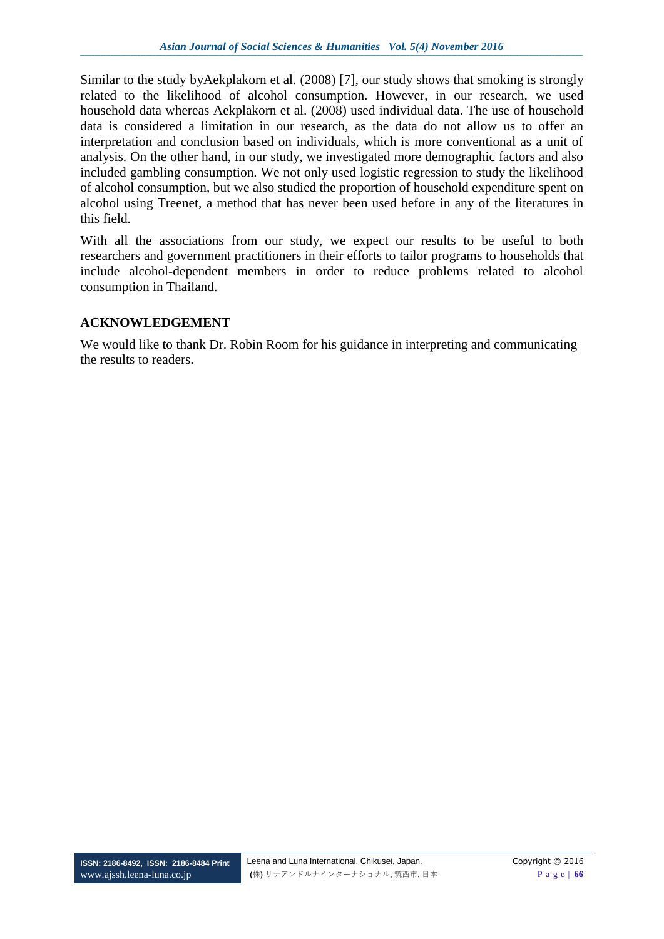Similar to the study byAekplakorn et al. (2008) [7], our study shows that smoking is strongly related to the likelihood of alcohol consumption. However, in our research, we used household data whereas Aekplakorn et al. (2008) used individual data. The use of household data is considered a limitation in our research, as the data do not allow us to offer an interpretation and conclusion based on individuals, which is more conventional as a unit of analysis. On the other hand, in our study, we investigated more demographic factors and also included gambling consumption. We not only used logistic regression to study the likelihood of alcohol consumption, but we also studied the proportion of household expenditure spent on alcohol using Treenet, a method that has never been used before in any of the literatures in this field.

With all the associations from our study, we expect our results to be useful to both researchers and government practitioners in their efforts to tailor programs to households that include alcohol-dependent members in order to reduce problems related to alcohol consumption in Thailand.

# **ACKNOWLEDGEMENT**

We would like to thank Dr. Robin Room for his guidance in interpreting and communicating the results to readers.